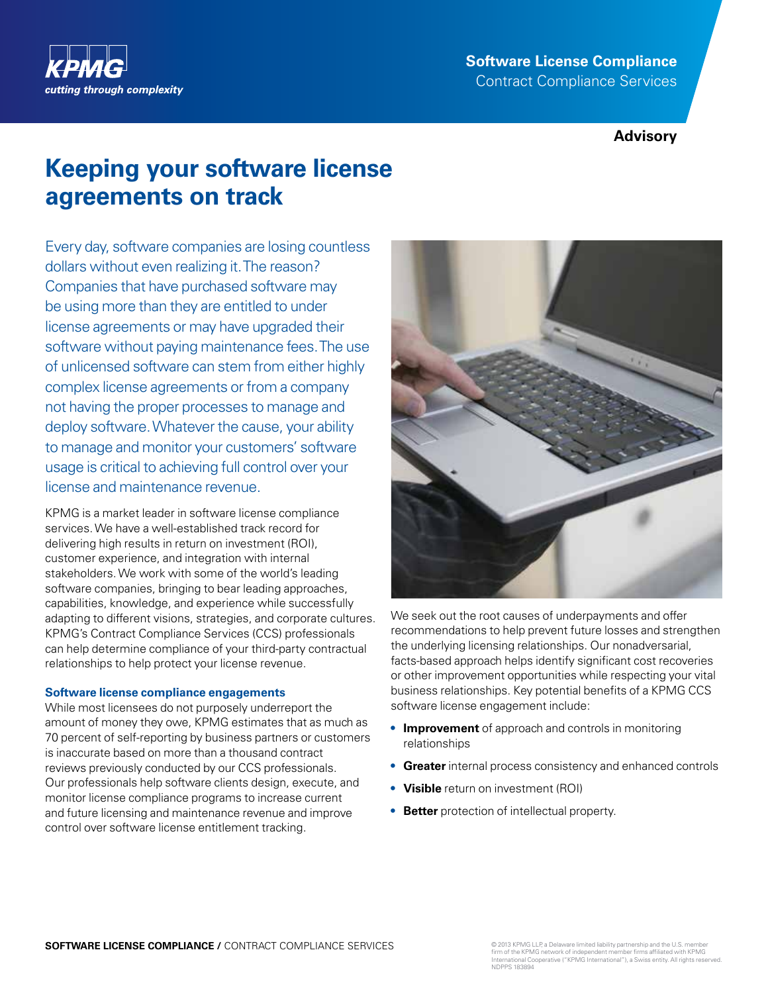

# **Software License Compliance** Contract Compliance Services

# **Advisory**

# **Keeping your software license agreements on track**

Every day, software companies are losing countless dollars without even realizing it. The reason? Companies that have purchased software may be using more than they are entitled to under license agreements or may have upgraded their software without paying maintenance fees. The use of unlicensed software can stem from either highly complex license agreements or from a company not having the proper processes to manage and deploy software. Whatever the cause, your ability to manage and monitor your customers' software usage is critical to achieving full control over your license and maintenance revenue.

KPMG is a market leader in software license compliance services. We have a well-established track record for delivering high results in return on investment (ROI), customer experience, and integration with internal stakeholders. We work with some of the world's leading software companies, bringing to bear leading approaches, capabilities, knowledge, and experience while successfully adapting to different visions, strategies, and corporate cultures. KPMG's Contract Compliance Services (CCS) professionals can help determine compliance of your third-party contractual relationships to help protect your license revenue.

## **Software license compliance engagements**

While most licensees do not purposely underreport the amount of money they owe, KPMG estimates that as much as 70 percent of self-reporting by business partners or customers is inaccurate based on more than a thousand contract reviews previously conducted by our CCS professionals. Our professionals help software clients design, execute, and monitor license compliance programs to increase current and future licensing and maintenance revenue and improve control over software license entitlement tracking.



We seek out the root causes of underpayments and offer recommendations to help prevent future losses and strengthen the underlying licensing relationships. Our nonadversarial, facts-based approach helps identify significant cost recoveries or other improvement opportunities while respecting your vital business relationships. Key potential benefits of a KPMG CCS software license engagement include:

- **• Improvement** of approach and controls in monitoring relationships
- **• Greater** internal process consistency and enhanced controls
- **• Visible** return on investment (ROI)
- **• Better** protection of intellectual property.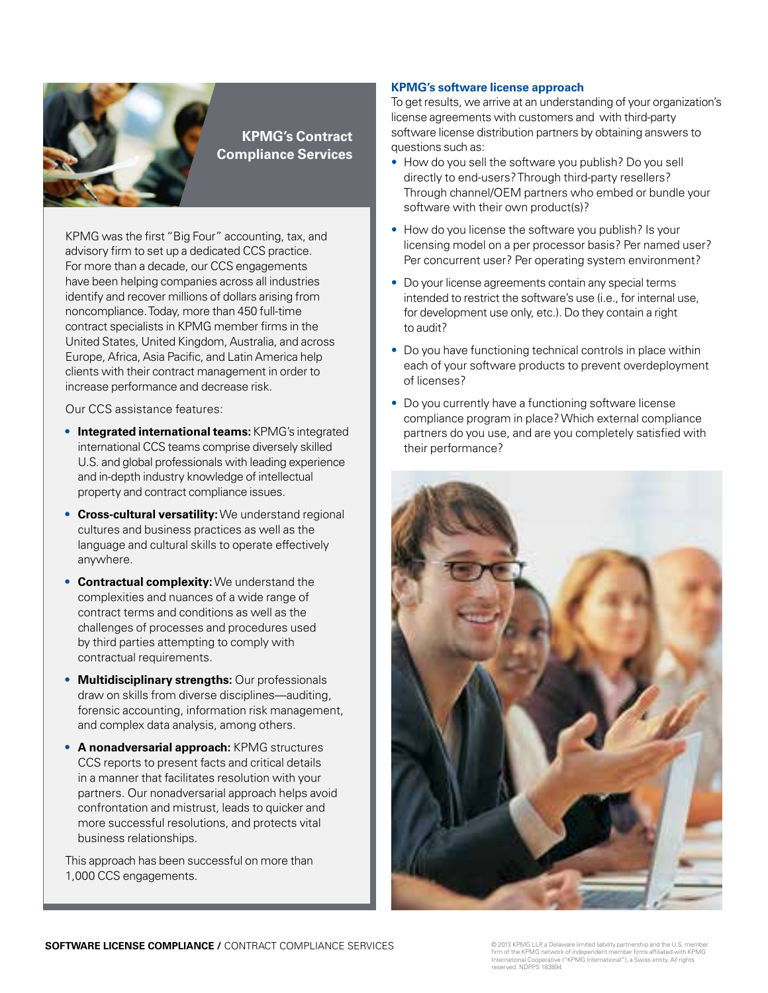

# **KPMG's Contract Compliance Services**

KPMG was the first "Big Four" accounting, tax, and advisory firm to set up a dedicated CCS practice. For more than a decade, our CCS engagements have been helping companies across all industries identify and recover millions of dollars arising from noncompliance. Today, more than 450 full-time contract specialists in KPMG member firms in the United States, United Kingdom, Australia, and across Europe, Africa, Asia Pacific, and Latin America help clients with their contract management in order to increase performance and decrease risk.

Our CCS assistance features:

- **• Integrated international teams:** KPMG's integrated international CCS teams comprise diversely skilled U.S. and global professionals with leading experience and in-depth industry knowledge of intellectual property and contract compliance issues.
- **• Cross-cultural versatility:** We understand regional cultures and business practices as well as the language and cultural skills to operate effectively anywhere.
- **• Contractual complexity:** We understand the complexities and nuances of a wide range of contract terms and conditions as well as the challenges of processes and procedures used by third parties attempting to comply with contractual requirements.
- **• Multidisciplinary strengths:** Our professionals draw on skills from diverse disciplines—auditing, forensic accounting, information risk management, and complex data analysis, among others.
- **• A nonadversarial approach:** KPMG structures CCS reports to present facts and critical details in a manner that facilitates resolution with your partners. Our nonadversarial approach helps avoid confrontation and mistrust, leads to quicker and more successful resolutions, and protects vital business relationships.

This approach has been successful on more than 1,000 CCS engagements.

# **KPMG's software license approach**

To get results, we arrive at an understanding of your organization's license agreements with customers and with third-party software license distribution partners by obtaining answers to questions such as:

- How do you sell the software you publish? Do you sell directly to end-users? Through third-party resellers? Through channel/OEM partners who embed or bundle your software with their own product(s)?
- How do you license the software you publish? Is your licensing model on a per processor basis? Per named user? Per concurrent user? Per operating system environment?
- Do your license agreements contain any special terms intended to restrict the software's use (i.e., for internal use, for development use only, etc.). Do they contain a right to audit?
- Do you have functioning technical controls in place within each of your software products to prevent overdeployment of licenses?
- Do you currently have a functioning software license compliance program in place? Which external compliance partners do you use, and are you completely satisfied with their performance?

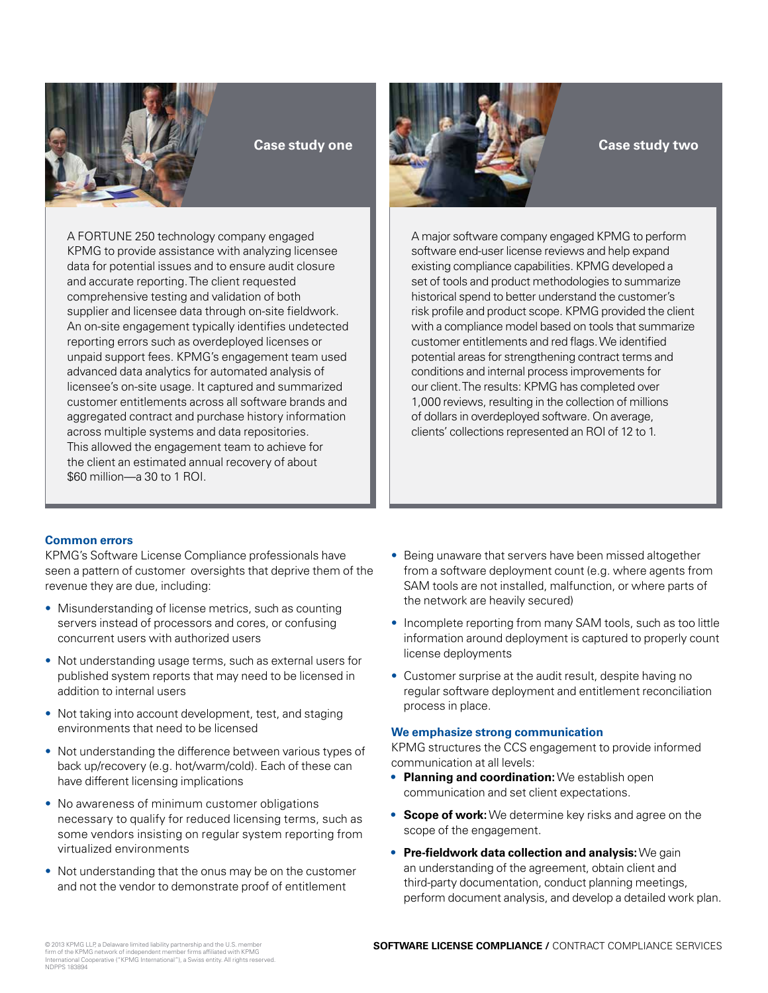

**Case study one**

A FORTUNE 250 technology company engaged KPMG to provide assistance with analyzing licensee data for potential issues and to ensure audit closure and accurate reporting. The client requested comprehensive testing and validation of both supplier and licensee data through on-site fieldwork. An on-site engagement typically identifies undetected reporting errors such as overdeployed licenses or unpaid support fees. KPMG's engagement team used advanced data analytics for automated analysis of licensee's on-site usage. It captured and summarized customer entitlements across all software brands and aggregated contract and purchase history information across multiple systems and data repositories. This allowed the engagement team to achieve for the client an estimated annual recovery of about \$60 million—a 30 to 1 ROI.

**Case study two** 

A major software company engaged KPMG to perform software end-user license reviews and help expand existing compliance capabilities. KPMG developed a set of tools and product methodologies to summarize historical spend to better understand the customer's risk profile and product scope. KPMG provided the client with a compliance model based on tools that summarize customer entitlements and red flags. We identified potential areas for strengthening contract terms and conditions and internal process improvements for our client. The results: KPMG has completed over 1,000 reviews, resulting in the collection of millions of dollars in overdeployed software. On average, clients' collections represented an ROI of 12 to 1.

## **Common errors**

KPMG's Software License Compliance professionals have seen a pattern of customer oversights that deprive them of the revenue they are due, including:

- Misunderstanding of license metrics, such as counting servers instead of processors and cores, or confusing concurrent users with authorized users
- Not understanding usage terms, such as external users for published system reports that may need to be licensed in addition to internal users
- Not taking into account development, test, and staging environments that need to be licensed
- Not understanding the difference between various types of back up/recovery (e.g. hot/warm/cold). Each of these can have different licensing implications
- No awareness of minimum customer obligations necessary to qualify for reduced licensing terms, such as some vendors insisting on regular system reporting from virtualized environments
- Not understanding that the onus may be on the customer and not the vendor to demonstrate proof of entitlement
- Being unaware that servers have been missed altogether from a software deployment count (e.g. where agents from SAM tools are not installed, malfunction, or where parts of the network are heavily secured)
- Incomplete reporting from many SAM tools, such as too little information around deployment is captured to properly count license deployments
- Customer surprise at the audit result, despite having no regular software deployment and entitlement reconciliation process in place.

## **We emphasize strong communication**

KPMG structures the CCS engagement to provide informed communication at all levels:

- **• Planning and coordination:** We establish open communication and set client expectations.
- **• Scope of work:** We determine key risks and agree on the scope of the engagement.
- **• Pre-fieldwork data collection and analysis:** We gain an understanding of the agreement, obtain client and third-party documentation, conduct planning meetings, perform document analysis, and develop a detailed work plan.